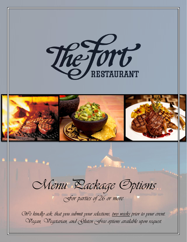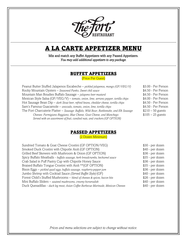

# A LA CARTE APPETIZER MENU

Mix and match any Buffet Appetizers with any Passed Appetizers. *You may add additional appetizers to any package.* 

### BUFFET APPETIZERS

(Price Per Guest)

Peanut Butter Stuffed Jalapenos Escabeche – *pickled jalapenos, mango (GF/VEG/V)* \$3.00 - Per Person Rocky Mountain Oysters - *Seasoned Panko, Sweet chili sauce* \$4.50 - Per Person Mountain Man Boudies Buffalo Sausage – *jalapeno beer mustard* \$4.50 - Per Person Mexican Style Salsa (GF/VEG/V) – *tomato, onion, lime, serrano pepper, tortilla chips* \$4.00 - Per Person Hot Sausage Bean Dip – *dark Stout beer, refried beans, cheddar cheese, tortilla chips* \$4.50 - Per Person Sam's Famous Guacamole – *avocado, tomato, onion, lime, tortilla chips* \$4.50 - Per Person The Fort Charcuterie Platter - Sausage: Buffalo, Wild Boar, Rattlesnake, and Elk Sausage \$210 - 50 guests *Cheeses: Parmigiano Reggiano, Blue Cheese, Goat Cheese, and Manchego* \$105 – 25 guests *Served with an assortment of fruit, candied nuts, and crackers (GF OPTION)*

### PASSED APPETIZERS

(2 Dozen Minimum)

| \$30 - per dozen |
|------------------|
| \$40 - per dozen |
| \$36 - per dozen |
| \$35 - per dozen |
| \$36 - per dozen |
| \$35 - per dozen |
| \$36 - per dozen |
| \$40 - per dozen |
| \$26 - per dozen |
| \$40 - per dozen |
| \$40 - per dozen |
|                  |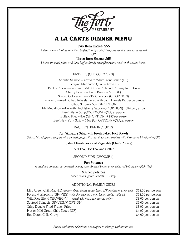

# A LA CARTE DINNER MENU

#### Two Item Entree: \$55

*2 items on each plate or 2 item buffet/family style (Everyone receives the same Items)*

*OR*

### Three Item Entree: \$65

*3 items on each plate or 3 item buffet/family style (Everyone receives the same items)*

#### ENTREES (CHOOSE 2 OR 3)

Atlantic Salmon – 4oz with White Wine sauce (GF) Teriyaki Marinated Quail – 4oz (GF) Panko Chicken – 4oz with Mild Green Chili and Creamy Red Dixon Cherry Bourbon Duck Breast – 5oz (GF) Spiced Colorado Lamb T-Bone - 6oz (GF OPTION) Hickory Smoked Buffalo Ribs slathered with Jack Daniels Barbecue Sauce Buffalo Sirloin – 5oz (GF OPTION) Elk Medallion – 4oz with Huckleberry Sauce (GF OPTION) +*\$10 per person* Beef Filet – 6oz *(GF OPTION) +\$35 per person* Buffalo Filet – 8oz (GF OPTION) +*\$40 per person* Beef New York Strip – 14oz (GF OPTION) +*\$35 per person*

#### EACH ENTREE INCLUDES

Fort Signature Salad with Fresh Baked Fort Breads

*Salad: Mixed greens topped with pickled ginger, jicama, & toasted pepitas with Damiana Vinaigrette (GF)*

Side of Fresh Seasonal Vegetable (Chefs Choice)

#### Iced Tea, Hot Tea, and Coffee

SECOND SIDE (CHOOSE 1)

Fort Potatoes

*roasted red potatoes, caramelized onions, corn, Anasazi beans, green chile, red bell peppers (GF/Veg)*

Mashed potatoes *butter, cream, garlic, shallots (GF/Veg)*

#### ADDITIONAL FAMILY SIDES

Mild Green Chili Mac &Cheese – *Greer cheese sauce, blend of Fort cheeses, green chili* \$12.00 per person Forest Mushrooms (GF/VEG) – *shitake, cremini, oyster, butter, garlic, truffle oil* \$12.00 per person Wild Rice Blend (GF/VEG/V) – *mixed wild rice, sage, carrots, celery* \$8.00 per person Sauteed Spinach (GF/VEG/V OPTION)  $$6.00$  per person Crisp Double Fried French Fries **\$8.00 per person** Hot or Mild Green Chile Sauce (GF)  $$4.00$  per person Red Dixon Chile Gravy **Example 20** and the state of the state of the state  $\frac{1}{4.00}$  per person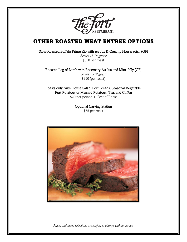

# OTHER ROASTED MEAT ENTREE OPTIONS

Slow-Roasted Buffalo Prime Rib with Au Jus & Creamy Horseradish (GF)

*Serves 15-18 guests* \$650 per roast

Roasted Leg of Lamb with Rosemary Au Jus and Mint Jelly (GF) *Serves 10-12 guests* \$250 (per roast)

Roasts only, with House Salad, Fort Breads, Seasonal Vegetable, Fort Potatoes or Mashed Potatoes, Tea, and Coffee \$20 per person + Cost of Roast

> Optional Carving Station \$75 per roast

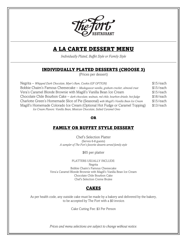

# A LA CARTE DESSERT MENU

*Individually Plated, Buffet Style or Family Style*

### INDIVIDUALLY PLATED DESSERTS (CHOOSE 3)

(Prices per dessert)

| Negrita – Whipped Dark Chocolate, Myer's Rum, Cookie (GF OPTION)                              | \$15/each |
|-----------------------------------------------------------------------------------------------|-----------|
| Bobbie Chaim's Famous Cheesecake - Madagascar vanilla, graham cracker, almond crust           | \$15/each |
| Vera's Caramel Blonde Brownie with Magill's Vanilla Bean Ice Cream                            | \$15/each |
| Chocolate Chile Bourbon Cake – dark chocolate, walnuts, red chile, bourbon drizzle, hot fudge | \$16/each |
| Charlotte Green's Homemade Slice of Pie (Seasonal) with Magill's Vanilla Bean Ice Cream       | \$15/each |
| Magill's Homemade Colorado Ice Cream (Optional Hot Fudge or Caramel Topping)                  | \$13/each |
| Ice Cream Flavors: Vanilla Bean, Mexican Chocolate, Salted Caramel Oreo                       |           |

OR

### FAMILY OR BUFFET STYLE DESSERT

Chef's Selection Platter (Serves 6-8 guests) *A sampler of The Fort's favorite desserts served family style*

\$65 per platter

PLATTERS USUALLY INCLUDE: Negrita Bobbie Chaim's Famous Cheesecake Vera'a Caramel Blonde Brownie with Magill's Vanilla Bean Ice Cream Chocolate Chile Bourbon Cake Chef's Selection Creme Brulee

### CAKES

As per health code, any outside cake must be made by a bakery and delivered by the bakery, to be accepted by The Fort with a \$0 invoice.

Cake Cutting Fee: \$3 Per Person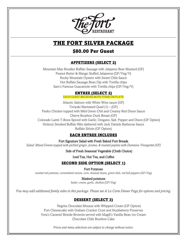

# THE FORT SILVER PACKAGE

### \$80.00 Per Guest

### APPETIZERS (SELECT 2)

Mountain Man Boudies Buffalo Sausage with Jalapeno Beer Mustard (GF) Peanut Butter & Mango Stuffed Jalapenos (GF/Veg/V) Rocky Mountain Oysters with Sweet Chile Sauce Hot Buffalo Sausage Bean Dip with Tortilla chips Sam's Famous Guacamole with Tortilla chips (GF/Veg/V)

### ENTREE (SELECT 2)

EACH GUEST RECIEVES BOTH ITEMS ON PLATE

Atlantic Salmon with White Wine sauce (GF) Teriyaki Marinated Quail (1) – (GF) Panko Chicken topped with Mild Green Chili and Creamy Red Dixon Sauce Cherry Bourbon Duck Breast (GF) Colorado Lamb T-Bone Spiced with Garlic, Oregano, Salt, Pepper and Dixon (GF Option) Hickory Smoked Buffalo Ribs slathered with Jack Daniels Barbecue Sauce Buffalo Sirloin (GF Option)

### EACH ENTREE INCLUDES

Fort Signature Salad with Fresh Baked Fort Breads *Salad: Mixed Greens topped with pickled ginger, jicama, & toasted pepitas with Damiana Vinaigrette (GF)*

Side of Fresh Seasonal Vegetable (Chefs Choice)

Iced Tea, Hot Tea, and Coffee

### SECOND SIDE OPTION (SELECT 1)

Fort Potatoes *roasted red potatoes, caramelized onions, corn, Anasazi beans, green chile, red bell peppers (GF/Veg)*

Mashed potatoes

*butter, cream, garlic, shallots (GF/Veg)*

*You may add additional family sides to this package. Please see A La Carte Dinner Page for options and pricing.*

### DESSERT (SELECT 3)

Negrita Chocolate Mousse with Whipped Cream (GF Option) Fort Cheesecake with Graham Cracker Crust and Huckleberry Preserves Vera's Caramel Blonde Brownie served with Magill's Vanilla Bean Ice Cream Chocolate Chile Bourbon Cake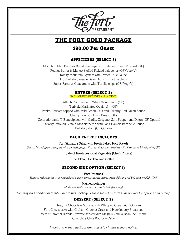

# THE FORT GOLD PACKAGE

### \$90.00 Per Guest

### APPETIZERS (SELECT 3)

Mountain Man Boudies Buffalo Sausage with Jalepeno Beer Mustard (GF) Peanut Butter & Mango Stuffed Pickled Jalapenos (GF/Veg/V) Rocky Mountain Oysters with Sweet Chile Sauce Hot Buffalo Sausage Bean Dip with Tortilla chips Sam's Famous Guacamole with Tortilla chips (GF/Veg/V)

### ENTREE (SELECT 3)

EACH GUEST RECIEVES ALL 3 ITEMS

Atlantic Salmon with White Wine sauce (GF) Teriyaki Marinated Quail (1) – (GF) Panko Chicken topped with Mild Green Chili and Creamy Red Dixon Sauce Cherry Bourbon Duck Breast (GF) Colorado Lamb T-Bone Spiced with Garlic, Oregano, Salt, Pepper and Dixon (GF Option) Hickory Smoked Buffalo Ribs slathered with Jack Daniels Barbecue Sauce Buffalo Sirloin (GF Option)

### EACH ENTREE INCLUDES

Fort Signature Salad with Fresh Baked Fort Breads

*Salad: Mixed greens topped with pickled ginger, jicama, & toasted pepitas with Damiana Vinaigrette (GF)*

Side of Fresh Seasonal Vegetable (Chefs Choice)

Iced Tea, Hot Tea, and Coffee

### SECOND SIDE OPTION (SELECT1)

Fort Potatoes

*Roasted red potatoes with caramelized onions, corn, Anasazi beans, green chile and red bell peppers (GF/Veg)*

Mashed potatoes

*Made with butter, cream, and garlic leek (GF/Veg)*

*You may add additional family sides to this package. Please see A La Carte Dinner Page for options and pricing.*

### DESSERT (SELECT 3)

Negrita Chocolate Mousse with Whipped Cream (GF Option) Fort Cheesecake with Graham Cracker Crust and Huckleberry Preserves Vera's Caramel Blonde Brownie served with Magill's Vanilla Bean Ice Cream Chocolate Chile Bourbon Cake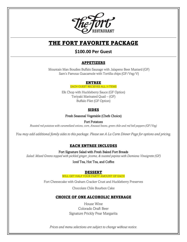

# THE FORT FAVORITE PACKAGE

### **\$100.00 Per Guest**

### APPETIZERS

Mountain Man Boudies Buffalo Sausage with Jalapeno Beer Mustard (GF) Sam's Famous Guacamole with Tortilla chips (GF/Veg/V)

### ENTREE

EACH GUEST RECIEVES ALL 3 ITEMS

Elk Chop with Huckleberry Sauce (GF Option) Teriyaki Marinated Quail – (GF) Buffalo Filet (GF Option)

### SIDES

Fresh Seasonal Vegetable (Chefs Choice)

Fort Potatoes

*Roasted red potatoes with caramelized onions, corn, Anasazi beans, green chile and red bell peppers (GF/Veg)*

*You may add additional family sides to this package. Please see A La Carte Dinner Page for options and pricing.*

### EACH ENTREE INCLUDES

Fort Signature Salad with Fresh Baked Fort Breads

*Salad: Mixed Greens topped with pickled ginger, jicama, & toasted pepitas with Damiana Vinaigrette (GF)*

Iced Tea, Hot Tea, and Coffee

### DESSERT

WILL GET HALF YOUR PARTY AMOUNT OF EACH

Fort Cheesecake with Graham Cracker Crust and Huckleberry Preserves

Chocolate Chile Bourbon Cake

### CHOICE OF ONE ALCOHOLIC BEVERAGE

House Wine Colorado Draft Beer Signature Prickly Pear Margarita